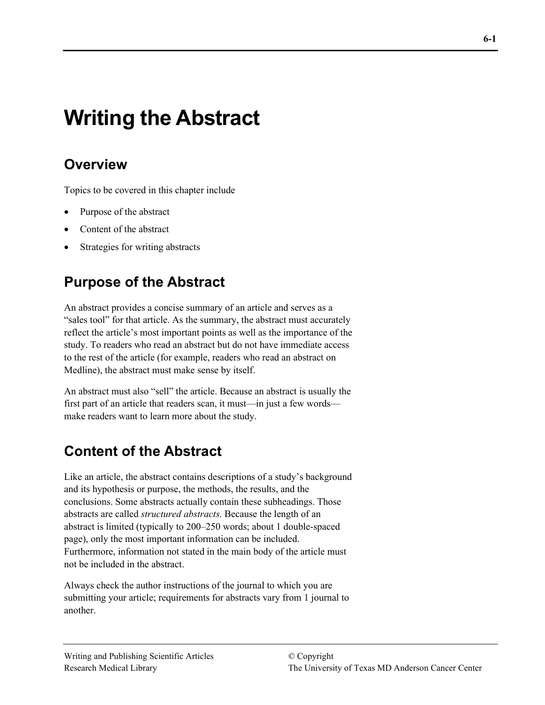# **Writing the Abstract**

# **Overview**

Topics to be covered in this chapter include

- Purpose of the abstract
- Content of the abstract
- Strategies for writing abstracts

# **Purpose of the Abstract**

An abstract provides a concise summary of an article and serves as a "sales tool" for that article. As the summary, the abstract must accurately reflect the article's most important points as well as the importance of the study. To readers who read an abstract but do not have immediate access to the rest of the article (for example, readers who read an abstract on Medline), the abstract must make sense by itself.

An abstract must also "sell" the article. Because an abstract is usually the first part of an article that readers scan, it must—in just a few words make readers want to learn more about the study.

# **Content of the Abstract**

Like an article, the abstract contains descriptions of a study's background and its hypothesis or purpose, the methods, the results, and the conclusions. Some abstracts actually contain these subheadings. Those abstracts are called *structured abstracts.* Because the length of an abstract is limited (typically to 200–250 words; about 1 double-spaced page), only the most important information can be included. Furthermore, information not stated in the main body of the article must not be included in the abstract.

Always check the author instructions of the journal to which you are submitting your article; requirements for abstracts vary from 1 journal to another.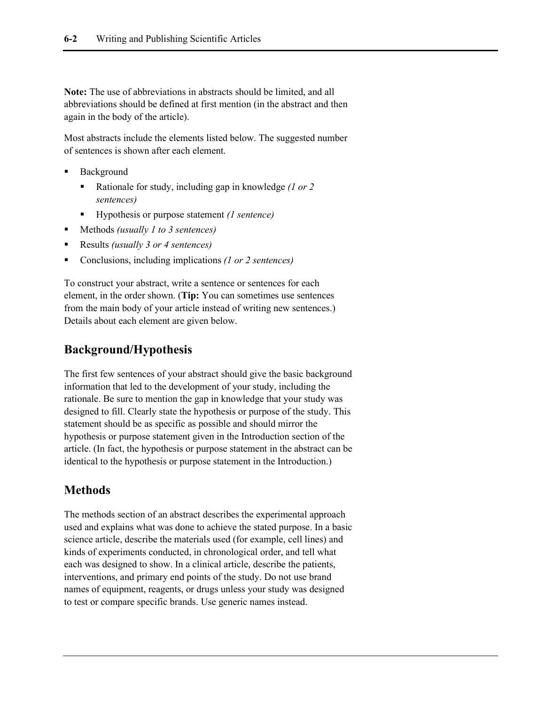**Note:** The use of abbreviations in abstracts should be limited, and all abbreviations should be defined at first mention (in the abstract and then again in the body of the article).

Most abstracts include the elements listed below. The suggested number of sentences is shown after each element.

- Background
	- Rationale for study, including gap in knowledge *(1 or 2 sentences)*
	- Hypothesis or purpose statement *(1 sentence)*
- Methods *(usually 1 to 3 sentences)*
- Results *(usually 3 or 4 sentences)*
- Conclusions, including implications *(1 or 2 sentences)*

To construct your abstract, write a sentence or sentences for each element, in the order shown. (**Tip:** You can sometimes use sentences from the main body of your article instead of writing new sentences.) Details about each element are given below.

#### **Background/Hypothesis**

The first few sentences of your abstract should give the basic background information that led to the development of your study, including the rationale. Be sure to mention the gap in knowledge that your study was designed to fill. Clearly state the hypothesis or purpose of the study. This statement should be as specific as possible and should mirror the hypothesis or purpose statement given in the Introduction section of the article. (In fact, the hypothesis or purpose statement in the abstract can be identical to the hypothesis or purpose statement in the Introduction.)

#### **Methods**

The methods section of an abstract describes the experimental approach used and explains what was done to achieve the stated purpose. In a basic science article, describe the materials used (for example, cell lines) and kinds of experiments conducted, in chronological order, and tell what each was designed to show. In a clinical article, describe the patients, interventions, and primary end points of the study. Do not use brand names of equipment, reagents, or drugs unless your study was designed to test or compare specific brands. Use generic names instead.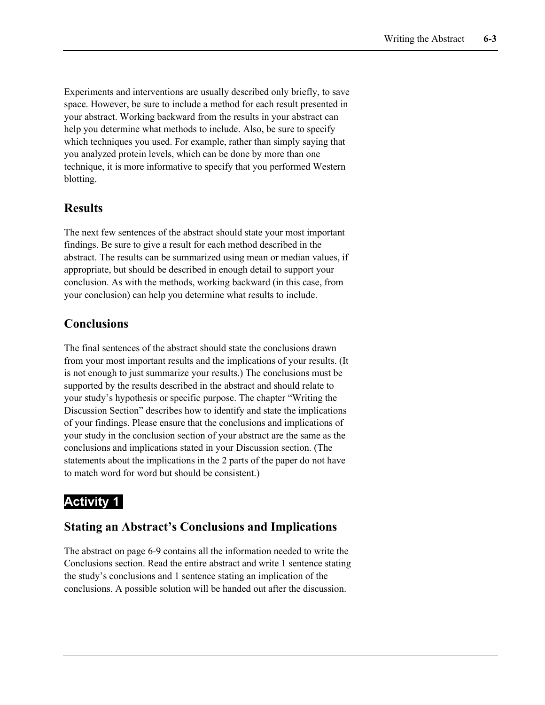Experiments and interventions are usually described only briefly, to save space. However, be sure to include a method for each result presented in your abstract. Working backward from the results in your abstract can help you determine what methods to include. Also, be sure to specify which techniques you used. For example, rather than simply saying that you analyzed protein levels, which can be done by more than one technique, it is more informative to specify that you performed Western blotting.

#### **Results**

The next few sentences of the abstract should state your most important findings. Be sure to give a result for each method described in the abstract. The results can be summarized using mean or median values, if appropriate, but should be described in enough detail to support your conclusion. As with the methods, working backward (in this case, from your conclusion) can help you determine what results to include.

#### **Conclusions**

The final sentences of the abstract should state the conclusions drawn from your most important results and the implications of your results. (It is not enough to just summarize your results.) The conclusions must be supported by the results described in the abstract and should relate to your study's hypothesis or specific purpose. The chapter "Writing the Discussion Section" describes how to identify and state the implications of your findings. Please ensure that the conclusions and implications of your study in the conclusion section of your abstract are the same as the conclusions and implications stated in your Discussion section. (The statements about the implications in the 2 parts of the paper do not have to match word for word but should be consistent.)

#### **Activity 1**

#### **Stating an Abstract's Conclusions and Implications**

The abstract on page 6-9 contains all the information needed to write the Conclusions section. Read the entire abstract and write 1 sentence stating the study's conclusions and 1 sentence stating an implication of the conclusions. A possible solution will be handed out after the discussion.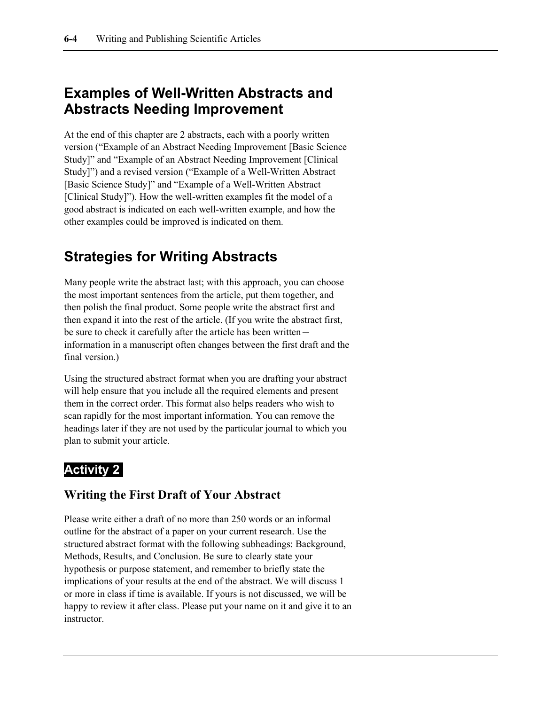### **Examples of Well-Written Abstracts and Abstracts Needing Improvement**

At the end of this chapter are 2 abstracts, each with a poorly written version ("Example of an Abstract Needing Improvement [Basic Science Study]" and "Example of an Abstract Needing Improvement [Clinical Study]") and a revised version ("Example of a Well-Written Abstract [Basic Science Study]" and "Example of a Well-Written Abstract [Clinical Study]"). How the well-written examples fit the model of a good abstract is indicated on each well-written example, and how the other examples could be improved is indicated on them.

### **Strategies for Writing Abstracts**

Many people write the abstract last; with this approach, you can choose the most important sentences from the article, put them together, and then polish the final product. Some people write the abstract first and then expand it into the rest of the article. (If you write the abstract first, be sure to check it carefully after the article has been written information in a manuscript often changes between the first draft and the final version.)

Using the structured abstract format when you are drafting your abstract will help ensure that you include all the required elements and present them in the correct order. This format also helps readers who wish to scan rapidly for the most important information. You can remove the headings later if they are not used by the particular journal to which you plan to submit your article.

### **Activity 2**

#### **Writing the First Draft of Your Abstract**

Please write either a draft of no more than 250 words or an informal outline for the abstract of a paper on your current research. Use the structured abstract format with the following subheadings: Background, Methods, Results, and Conclusion. Be sure to clearly state your hypothesis or purpose statement, and remember to briefly state the implications of your results at the end of the abstract. We will discuss 1 or more in class if time is available. If yours is not discussed, we will be happy to review it after class. Please put your name on it and give it to an instructor.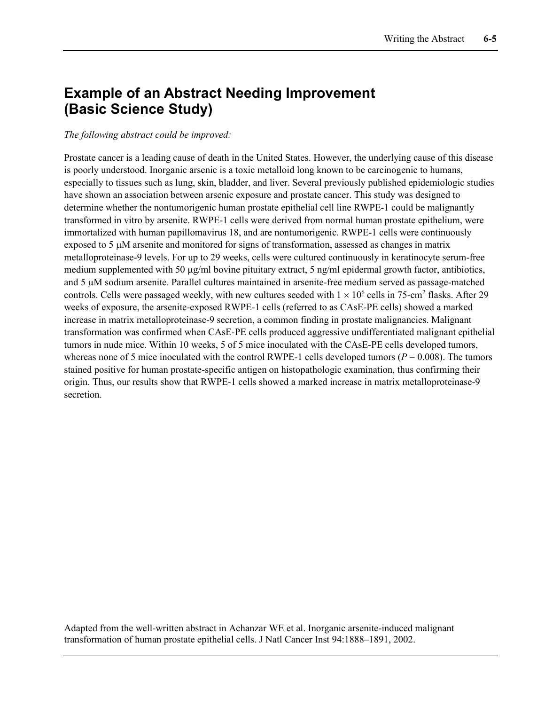### **Example of an Abstract Needing Improvement (Basic Science Study)**

#### *The following abstract could be improved:*

Prostate cancer is a leading cause of death in the United States. However, the underlying cause of this disease is poorly understood. Inorganic arsenic is a toxic metalloid long known to be carcinogenic to humans, especially to tissues such as lung, skin, bladder, and liver. Several previously published epidemiologic studies have shown an association between arsenic exposure and prostate cancer. This study was designed to determine whether the nontumorigenic human prostate epithelial cell line RWPE-1 could be malignantly transformed in vitro by arsenite. RWPE-1 cells were derived from normal human prostate epithelium, were immortalized with human papillomavirus 18, and are nontumorigenic. RWPE-1 cells were continuously exposed to 5 µM arsenite and monitored for signs of transformation, assessed as changes in matrix metalloproteinase-9 levels. For up to 29 weeks, cells were cultured continuously in keratinocyte serum-free medium supplemented with 50  $\mu$ g/ml bovine pituitary extract, 5 ng/ml epidermal growth factor, antibiotics, and 5 µM sodium arsenite. Parallel cultures maintained in arsenite-free medium served as passage-matched controls. Cells were passaged weekly, with new cultures seeded with  $1 \times 10^6$  cells in 75-cm<sup>2</sup> flasks. After 29 weeks of exposure, the arsenite-exposed RWPE-1 cells (referred to as CAsE-PE cells) showed a marked increase in matrix metalloproteinase-9 secretion, a common finding in prostate malignancies. Malignant transformation was confirmed when CAsE-PE cells produced aggressive undifferentiated malignant epithelial tumors in nude mice. Within 10 weeks, 5 of 5 mice inoculated with the CAsE-PE cells developed tumors, whereas none of 5 mice inoculated with the control RWPE-1 cells developed tumors ( $P = 0.008$ ). The tumors stained positive for human prostate-specific antigen on histopathologic examination, thus confirming their origin. Thus, our results show that RWPE-1 cells showed a marked increase in matrix metalloproteinase-9 secretion.

Adapted from the well-written abstract in Achanzar WE et al. Inorganic arsenite-induced malignant transformation of human prostate epithelial cells. J Natl Cancer Inst 94:1888–1891, 2002.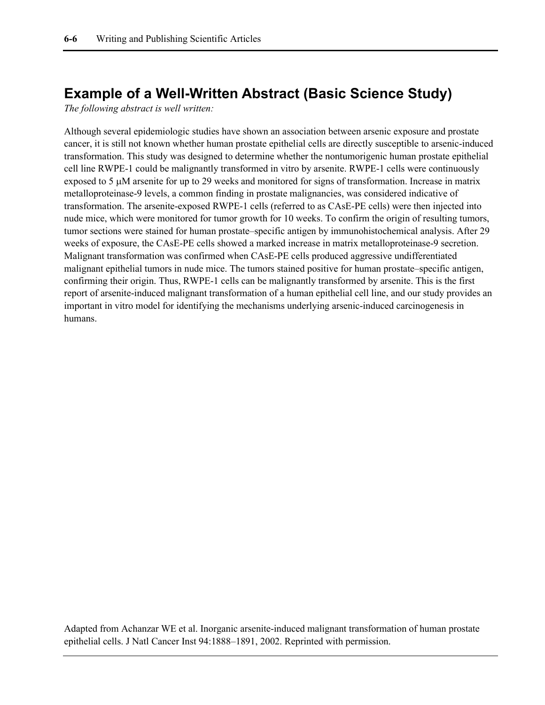#### **Example of a Well-Written Abstract (Basic Science Study)**

*The following abstract is well written:*

Although several epidemiologic studies have shown an association between arsenic exposure and prostate cancer, it is still not known whether human prostate epithelial cells are directly susceptible to arsenic-induced transformation. This study was designed to determine whether the nontumorigenic human prostate epithelial cell line RWPE-1 could be malignantly transformed in vitro by arsenite. RWPE-1 cells were continuously exposed to 5 µM arsenite for up to 29 weeks and monitored for signs of transformation. Increase in matrix metalloproteinase-9 levels, a common finding in prostate malignancies, was considered indicative of transformation. The arsenite-exposed RWPE-1 cells (referred to as CAsE-PE cells) were then injected into nude mice, which were monitored for tumor growth for 10 weeks. To confirm the origin of resulting tumors, tumor sections were stained for human prostate–specific antigen by immunohistochemical analysis. After 29 weeks of exposure, the CAsE-PE cells showed a marked increase in matrix metalloproteinase-9 secretion. Malignant transformation was confirmed when CAsE-PE cells produced aggressive undifferentiated malignant epithelial tumors in nude mice. The tumors stained positive for human prostate–specific antigen, confirming their origin. Thus, RWPE-1 cells can be malignantly transformed by arsenite. This is the first report of arsenite-induced malignant transformation of a human epithelial cell line, and our study provides an important in vitro model for identifying the mechanisms underlying arsenic-induced carcinogenesis in humans.

Adapted from Achanzar WE et al. Inorganic arsenite-induced malignant transformation of human prostate epithelial cells. J Natl Cancer Inst 94:1888–1891, 2002. Reprinted with permission.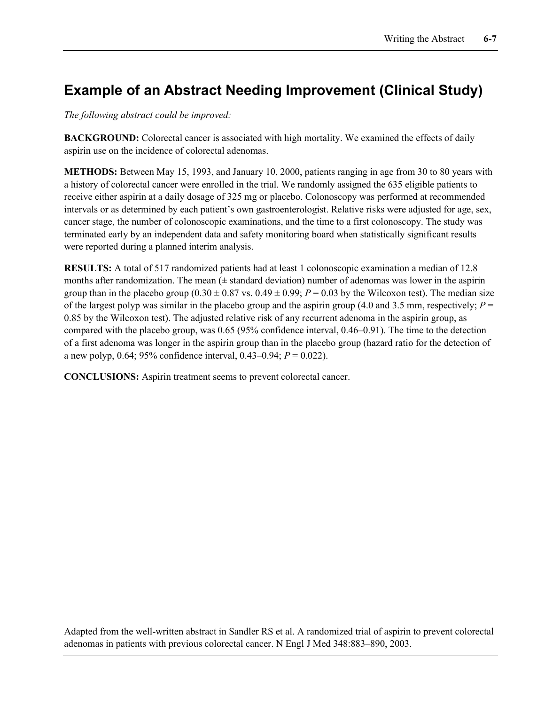### **Example of an Abstract Needing Improvement (Clinical Study)**

*The following abstract could be improved:*

**BACKGROUND:** Colorectal cancer is associated with high mortality. We examined the effects of daily aspirin use on the incidence of colorectal adenomas.

**METHODS:** Between May 15, 1993, and January 10, 2000, patients ranging in age from 30 to 80 years with a history of colorectal cancer were enrolled in the trial. We randomly assigned the 635 eligible patients to receive either aspirin at a daily dosage of 325 mg or placebo. Colonoscopy was performed at recommended intervals or as determined by each patient's own gastroenterologist. Relative risks were adjusted for age, sex, cancer stage, the number of colonoscopic examinations, and the time to a first colonoscopy. The study was terminated early by an independent data and safety monitoring board when statistically significant results were reported during a planned interim analysis.

**RESULTS:** A total of 517 randomized patients had at least 1 colonoscopic examination a median of 12.8 months after randomization. The mean  $(±$  standard deviation) number of adenomas was lower in the aspirin group than in the placebo group  $(0.30 \pm 0.87 \text{ vs. } 0.49 \pm 0.99; P = 0.03 \text{ by the Wilcoxon test})$ . The median size of the largest polyp was similar in the placebo group and the aspirin group (4.0 and 3.5 mm, respectively;  $P =$ 0.85 by the Wilcoxon test). The adjusted relative risk of any recurrent adenoma in the aspirin group, as compared with the placebo group, was 0.65 (95% confidence interval, 0.46–0.91). The time to the detection of a first adenoma was longer in the aspirin group than in the placebo group (hazard ratio for the detection of a new polyp, 0.64; 95% confidence interval, 0.43–0.94; *P* = 0.022).

**CONCLUSIONS:** Aspirin treatment seems to prevent colorectal cancer.

Adapted from the well-written abstract in Sandler RS et al. A randomized trial of aspirin to prevent colorectal adenomas in patients with previous colorectal cancer. N Engl J Med 348:883–890, 2003.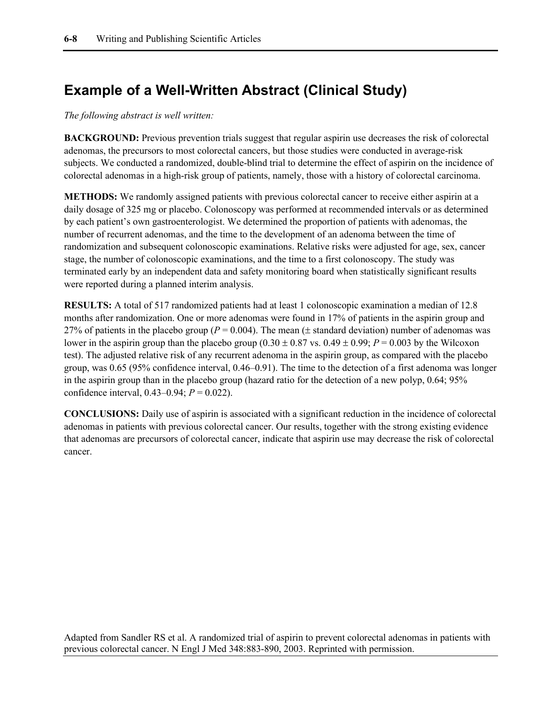### **Example of a Well-Written Abstract (Clinical Study)**

*The following abstract is well written:*

**BACKGROUND:** Previous prevention trials suggest that regular aspirin use decreases the risk of colorectal adenomas, the precursors to most colorectal cancers, but those studies were conducted in average-risk subjects. We conducted a randomized, double-blind trial to determine the effect of aspirin on the incidence of colorectal adenomas in a high-risk group of patients, namely, those with a history of colorectal carcinoma.

**METHODS:** We randomly assigned patients with previous colorectal cancer to receive either aspirin at a daily dosage of 325 mg or placebo. Colonoscopy was performed at recommended intervals or as determined by each patient's own gastroenterologist. We determined the proportion of patients with adenomas, the number of recurrent adenomas, and the time to the development of an adenoma between the time of randomization and subsequent colonoscopic examinations. Relative risks were adjusted for age, sex, cancer stage, the number of colonoscopic examinations, and the time to a first colonoscopy. The study was terminated early by an independent data and safety monitoring board when statistically significant results were reported during a planned interim analysis.

**RESULTS:** A total of 517 randomized patients had at least 1 colonoscopic examination a median of 12.8 months after randomization. One or more adenomas were found in 17% of patients in the aspirin group and 27% of patients in the placebo group ( $P = 0.004$ ). The mean ( $\pm$  standard deviation) number of adenomas was lower in the aspirin group than the placebo group  $(0.30 \pm 0.87 \text{ vs. } 0.49 \pm 0.99; P = 0.003 \text{ by the Wilcoxon})$ test). The adjusted relative risk of any recurrent adenoma in the aspirin group, as compared with the placebo group, was 0.65 (95% confidence interval, 0.46–0.91). The time to the detection of a first adenoma was longer in the aspirin group than in the placebo group (hazard ratio for the detection of a new polyp, 0.64; 95% confidence interval, 0.43–0.94; *P* = 0.022).

**CONCLUSIONS:** Daily use of aspirin is associated with a significant reduction in the incidence of colorectal adenomas in patients with previous colorectal cancer. Our results, together with the strong existing evidence that adenomas are precursors of colorectal cancer, indicate that aspirin use may decrease the risk of colorectal cancer.

Adapted from Sandler RS et al. A randomized trial of aspirin to prevent colorectal adenomas in patients with previous colorectal cancer. N Engl J Med 348:883-890, 2003. Reprinted with permission.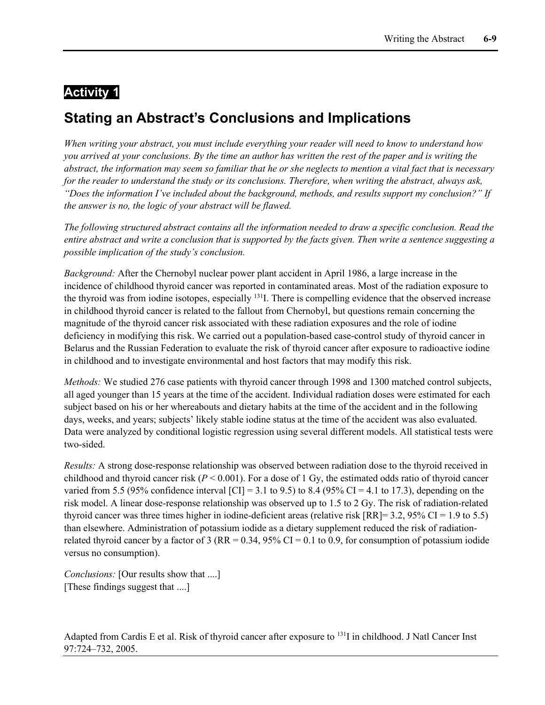#### **Activity 1**

## **Stating an Abstract's Conclusions and Implications**

*When writing your abstract, you must include everything your reader will need to know to understand how you arrived at your conclusions. By the time an author has written the rest of the paper and is writing the abstract, the information may seem so familiar that he or she neglects to mention a vital fact that is necessary for the reader to understand the study or its conclusions. Therefore, when writing the abstract, always ask, "Does the information I've included about the background, methods, and results support my conclusion?" If the answer is no, the logic of your abstract will be flawed.*

*The following structured abstract contains all the information needed to draw a specific conclusion. Read the entire abstract and write a conclusion that is supported by the facts given. Then write a sentence suggesting a possible implication of the study's conclusion.*

*Background:* After the Chernobyl nuclear power plant accident in April 1986, a large increase in the incidence of childhood thyroid cancer was reported in contaminated areas. Most of the radiation exposure to the thyroid was from iodine isotopes, especially <sup>131</sup>I. There is compelling evidence that the observed increase in childhood thyroid cancer is related to the fallout from Chernobyl, but questions remain concerning the magnitude of the thyroid cancer risk associated with these radiation exposures and the role of iodine deficiency in modifying this risk. We carried out a population-based case-control study of thyroid cancer in Belarus and the Russian Federation to evaluate the risk of thyroid cancer after exposure to radioactive iodine in childhood and to investigate environmental and host factors that may modify this risk.

*Methods:* We studied 276 case patients with thyroid cancer through 1998 and 1300 matched control subjects, all aged younger than 15 years at the time of the accident. Individual radiation doses were estimated for each subject based on his or her whereabouts and dietary habits at the time of the accident and in the following days, weeks, and years; subjects' likely stable iodine status at the time of the accident was also evaluated. Data were analyzed by conditional logistic regression using several different models. All statistical tests were two-sided.

*Results:* A strong dose-response relationship was observed between radiation dose to the thyroid received in childhood and thyroid cancer risk ( $P < 0.001$ ). For a dose of 1 Gy, the estimated odds ratio of thyroid cancer varied from 5.5 (95% confidence interval  $\text{[CII]} = 3.1$  to 9.5) to 8.4 (95% CI = 4.1 to 17.3), depending on the risk model. A linear dose-response relationship was observed up to 1.5 to 2 Gy. The risk of radiation-related thyroid cancer was three times higher in iodine-deficient areas (relative risk  $[RR] = 3.2, 95\% \text{ CI} = 1.9 \text{ to } 5.5$ ) than elsewhere. Administration of potassium iodide as a dietary supplement reduced the risk of radiationrelated thyroid cancer by a factor of 3 (RR =  $0.34$ ,  $95\%$  CI = 0.1 to 0.9, for consumption of potassium iodide versus no consumption).

*Conclusions:* [Our results show that ....] [These findings suggest that ....]

Adapted from Cardis E et al. Risk of thyroid cancer after exposure to <sup>131</sup>I in childhood. J Natl Cancer Inst 97:724–732, 2005.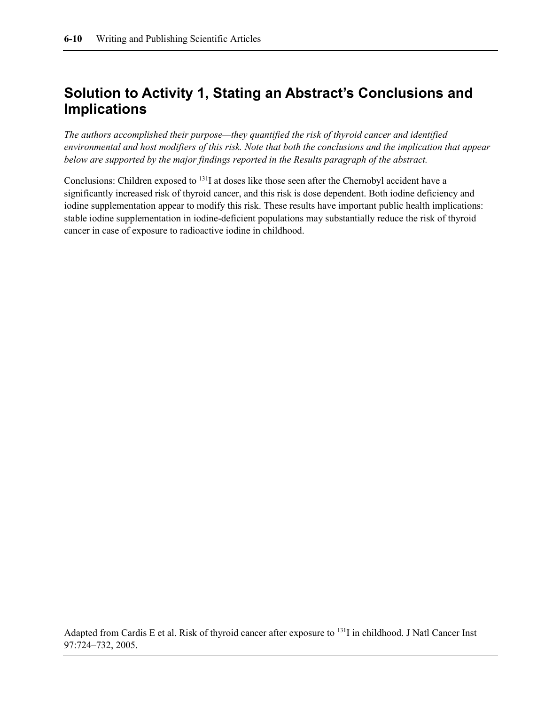### **Solution to Activity 1, Stating an Abstract's Conclusions and Implications**

*The authors accomplished their purpose—they quantified the risk of thyroid cancer and identified environmental and host modifiers of this risk. Note that both the conclusions and the implication that appear below are supported by the major findings reported in the Results paragraph of the abstract.*

Conclusions: Children exposed to 131I at doses like those seen after the Chernobyl accident have a significantly increased risk of thyroid cancer, and this risk is dose dependent. Both iodine deficiency and iodine supplementation appear to modify this risk. These results have important public health implications: stable iodine supplementation in iodine-deficient populations may substantially reduce the risk of thyroid cancer in case of exposure to radioactive iodine in childhood.

Adapted from Cardis E et al. Risk of thyroid cancer after exposure to 131I in childhood. J Natl Cancer Inst 97:724–732, 2005.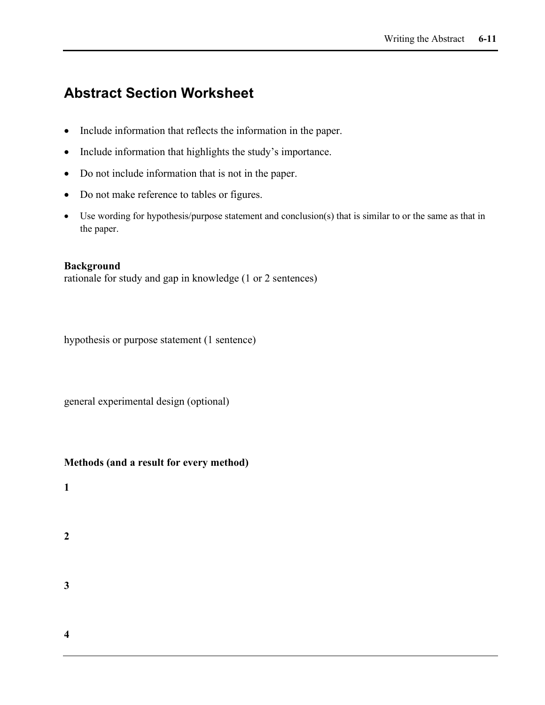### **Abstract Section Worksheet**

- Include information that reflects the information in the paper.
- Include information that highlights the study's importance.
- Do not include information that is not in the paper.
- Do not make reference to tables or figures.
- Use wording for hypothesis/purpose statement and conclusion(s) that is similar to or the same as that in the paper.

#### **Background**

rationale for study and gap in knowledge (1 or 2 sentences)

hypothesis or purpose statement (1 sentence)

general experimental design (optional)

#### **Methods (and a result for every method)**

- **1**
- **2**
- **3**

**4**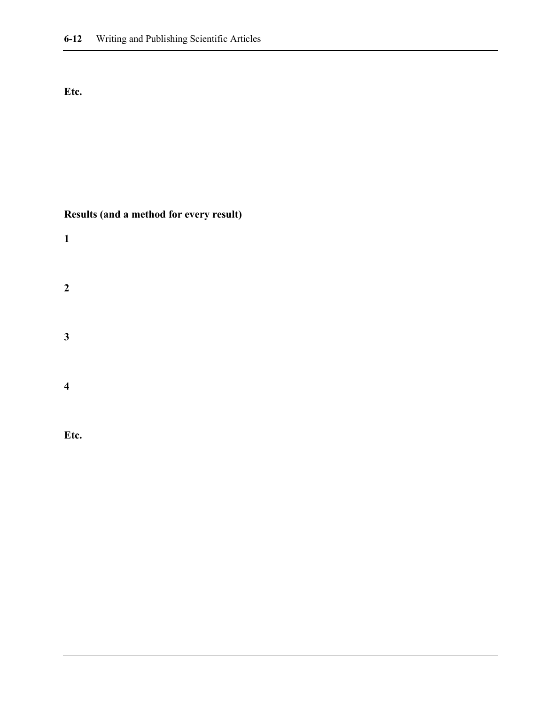#### **Etc.**

#### **Results (and a method for every result)**

| $\mathbf{1}$            |  |  |  |
|-------------------------|--|--|--|
| $\boldsymbol{2}$        |  |  |  |
| $\mathbf{3}$            |  |  |  |
| $\overline{\mathbf{4}}$ |  |  |  |

**Etc.**